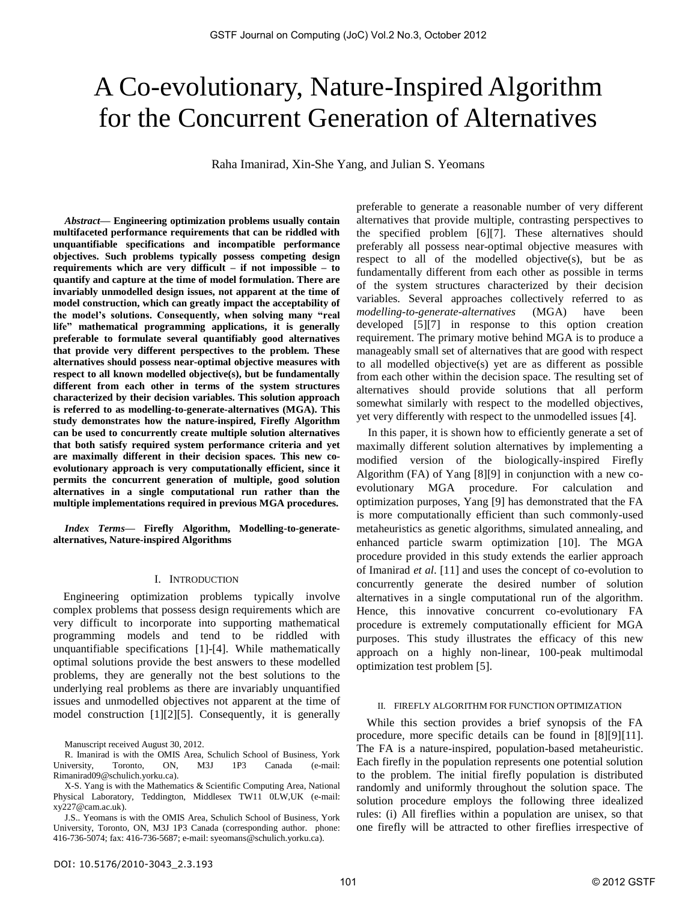# A Co-evolutionary, Nature-Inspired Algorithm for the Concurrent Generation of Alternatives

Raha Imanirad, Xin-She Yang, and Julian S. Yeomans

*Abstract***— Engineering optimization problems usually contain multifaceted performance requirements that can be riddled with unquantifiable specifications and incompatible performance objectives. Such problems typically possess competing design requirements which are very difficult – if not impossible – to quantify and capture at the time of model formulation. There are invariably unmodelled design issues, not apparent at the time of model construction, which can greatly impact the acceptability of the model's solutions. Consequently, when solving many "real life" mathematical programming applications, it is generally preferable to formulate several quantifiably good alternatives that provide very different perspectives to the problem. These alternatives should possess near-optimal objective measures with respect to all known modelled objective(s), but be fundamentally different from each other in terms of the system structures characterized by their decision variables. This solution approach is referred to as modelling-to-generate-alternatives (MGA). This study demonstrates how the nature-inspired, Firefly Algorithm can be used to concurrently create multiple solution alternatives that both satisfy required system performance criteria and yet are maximally different in their decision spaces. This new coevolutionary approach is very computationally efficient, since it permits the concurrent generation of multiple, good solution alternatives in a single computational run rather than the multiple implementations required in previous MGA procedures.** 

*Index Terms***— Firefly Algorithm, Modelling-to-generatealternatives, Nature-inspired Algorithms** 

## I. INTRODUCTION

Engineering optimization problems typically involve complex problems that possess design requirements which are very difficult to incorporate into supporting mathematical programming models and tend to be riddled with unquantifiable specifications [1]-[4]. While mathematically optimal solutions provide the best answers to these modelled problems, they are generally not the best solutions to the underlying real problems as there are invariably unquantified issues and unmodelled objectives not apparent at the time of model construction [1][2][5]. Consequently, it is generally

Manuscript received August 30, 2012.

X-S. Yang is with the Mathematics & Scientific Computing Area, National Physical Laboratory, Teddington, Middlesex TW11 0LW,UK (e-mail: xy227@cam.ac.uk).

J.S.. Yeomans is with the OMIS Area, Schulich School of Business, York University, Toronto, ON, M3J 1P3 Canada (corresponding author. phone: 416-736-5074; fax: 416-736-5687; e-mail: syeomans@schulich.yorku.ca).

preferable to generate a reasonable number of very different alternatives that provide multiple, contrasting perspectives to the specified problem [6][7]. These alternatives should preferably all possess near-optimal objective measures with respect to all of the modelled objective(s), but be as fundamentally different from each other as possible in terms of the system structures characterized by their decision variables. Several approaches collectively referred to as *modelling-to-generate-alternatives* (MGA) have been developed [5][7] in response to this option creation requirement. The primary motive behind MGA is to produce a manageably small set of alternatives that are good with respect to all modelled objective(s) yet are as different as possible from each other within the decision space. The resulting set of alternatives should provide solutions that all perform somewhat similarly with respect to the modelled objectives, yet very differently with respect to the unmodelled issues [4].

In this paper, it is shown how to efficiently generate a set of maximally different solution alternatives by implementing a modified version of the biologically-inspired Firefly Algorithm (FA) of Yang [8][9] in conjunction with a new coevolutionary MGA procedure. For calculation and optimization purposes, Yang [9] has demonstrated that the FA is more computationally efficient than such commonly-used metaheuristics as genetic algorithms, simulated annealing, and enhanced particle swarm optimization [10]. The MGA procedure provided in this study extends the earlier approach of Imanirad *et al*. [11] and uses the concept of co-evolution to concurrently generate the desired number of solution alternatives in a single computational run of the algorithm. Hence, this innovative concurrent co-evolutionary FA procedure is extremely computationally efficient for MGA purposes. This study illustrates the efficacy of this new approach on a highly non-linear, 100-peak multimodal optimization test problem [5].

## II. FIREFLY ALGORITHM FOR FUNCTION OPTIMIZATION

While this section provides a brief synopsis of the FA procedure, more specific details can be found in [8][9][11]. The FA is a nature-inspired, population-based metaheuristic. Each firefly in the population represents one potential solution to the problem. The initial firefly population is distributed randomly and uniformly throughout the solution space. The solution procedure employs the following three idealized rules: (i) All fireflies within a population are unisex, so that one firefly will be attracted to other fireflies irrespective of

R. Imanirad is with the OMIS Area, Schulich School of Business, York iversity, Toronto, ON, M3J 1P3 Canada (e-mail: University, Toronto, ON, M3J 1P3 Canada Rimanirad09@schulich.yorku.ca).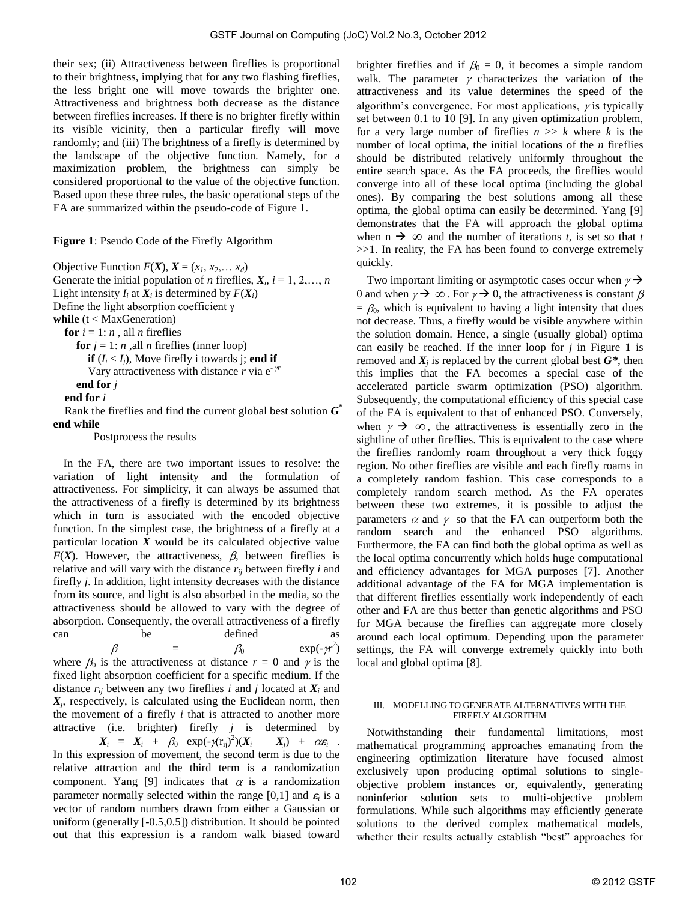their sex; (ii) Attractiveness between fireflies is proportional to their brightness, implying that for any two flashing fireflies, the less bright one will move towards the brighter one. Attractiveness and brightness both decrease as the distance between fireflies increases. If there is no brighter firefly within its visible vicinity, then a particular firefly will move randomly; and (iii) The brightness of a firefly is determined by the landscape of the objective function. Namely, for a maximization problem, the brightness can simply be considered proportional to the value of the objective function. Based upon these three rules, the basic operational steps of the FA are summarized within the pseudo-code of Figure 1.

**Figure 1**: Pseudo Code of the Firefly Algorithm

Objective Function  $F(X)$ ,  $X = (x_1, x_2, \ldots, x_d)$ Generate the initial population of *n* fireflies,  $X_i$ ,  $i = 1, 2, \ldots, n$ Light intensity  $I_i$  at  $X_i$  is determined by  $F(X_i)$ Define the light absorption coefficient γ **while** (t < MaxGeneration) **for**  $i = 1$ : *n*, all *n* fireflies **for**  $j = 1$ : *n*, all *n* fireflies (inner loop) **if**  $(I_i < I_j)$ , Move firefly i towards j; **end if**  Vary attractiveness with distance *r* via e- *γr* **end for** *j* **end for** *i* Rank the fireflies and find the current global best solution *G* **\***

**end while**

Postprocess the results

In the FA, there are two important issues to resolve: the variation of light intensity and the formulation of attractiveness. For simplicity, it can always be assumed that the attractiveness of a firefly is determined by its brightness which in turn is associated with the encoded objective function. In the simplest case, the brightness of a firefly at a particular location  $X$  would be its calculated objective value  $F(X)$ . However, the attractiveness,  $\beta$ , between fireflies is relative and will vary with the distance  $r_{ij}$  between firefly *i* and firefly *j*. In addition, light intensity decreases with the distance from its source, and light is also absorbed in the media, so the attractiveness should be allowed to vary with the degree of absorption. Consequently, the overall attractiveness of a firefly can be defined as  $\beta$  =  $\beta_0$  exp(- $\gamma r^2$ ) where  $\beta_0$  is the attractiveness at distance  $r = 0$  and  $\gamma$  is the fixed light absorption coefficient for a specific medium. If the

distance  $r_{ij}$  between any two fireflies *i* and *j* located at  $X_i$  and  $X_j$ , respectively, is calculated using the Euclidean norm, then the movement of a firefly *i* that is attracted to another more attractive (i.e. brighter) firefly *j* is determined by  $X_i = X_i + \beta_0 \exp(-\gamma (r_{ij})^2)(X_i - X_j) + \alpha \varepsilon_i$ . In this expression of movement, the second term is due to the relative attraction and the third term is a randomization component. Yang [9] indicates that  $\alpha$  is a randomization parameter normally selected within the range  $[0,1]$  and  $\varepsilon$ <sub>i</sub> is a vector of random numbers drawn from either a Gaussian or uniform (generally [-0.5,0.5]) distribution. It should be pointed out that this expression is a random walk biased toward

brighter fireflies and if  $\beta_0 = 0$ , it becomes a simple random walk. The parameter  $\gamma$  characterizes the variation of the attractiveness and its value determines the speed of the algorithm's convergence. For most applications,  $\gamma$  is typically set between 0.1 to 10 [9]. In any given optimization problem, for a very large number of fireflies  $n \gg k$  where *k* is the number of local optima, the initial locations of the *n* fireflies should be distributed relatively uniformly throughout the entire search space. As the FA proceeds, the fireflies would converge into all of these local optima (including the global ones). By comparing the best solutions among all these optima, the global optima can easily be determined. Yang [9] demonstrates that the FA will approach the global optima when  $n \rightarrow \infty$  and the number of iterations *t*, is set so that *t* >>1. In reality, the FA has been found to converge extremely quickly.

Two important limiting or asymptotic cases occur when  $\gamma \rightarrow$ 0 and when  $\gamma \rightarrow \infty$ . For  $\gamma \rightarrow 0$ , the attractiveness is constant  $\beta$  $= \beta_0$ , which is equivalent to having a light intensity that does not decrease. Thus, a firefly would be visible anywhere within the solution domain. Hence, a single (usually global) optima can easily be reached. If the inner loop for *j* in Figure 1 is removed and  $X_j$  is replaced by the current global best  $G^*$ , then this implies that the FA becomes a special case of the accelerated particle swarm optimization (PSO) algorithm. Subsequently, the computational efficiency of this special case of the FA is equivalent to that of enhanced PSO. Conversely, when  $\gamma \rightarrow \infty$ , the attractiveness is essentially zero in the sightline of other fireflies. This is equivalent to the case where the fireflies randomly roam throughout a very thick foggy region. No other fireflies are visible and each firefly roams in a completely random fashion. This case corresponds to a completely random search method. As the FA operates between these two extremes, it is possible to adjust the parameters  $\alpha$  and  $\gamma$  so that the FA can outperform both the random search and the enhanced PSO algorithms. Furthermore, the FA can find both the global optima as well as the local optima concurrently which holds huge computational and efficiency advantages for MGA purposes [7]. Another additional advantage of the FA for MGA implementation is that different fireflies essentially work independently of each other and FA are thus better than genetic algorithms and PSO for MGA because the fireflies can aggregate more closely around each local optimum. Depending upon the parameter settings, the FA will converge extremely quickly into both local and global optima [8].

### III. MODELLING TO GENERATE ALTERNATIVES WITH THE FIREFLY ALGORITHM

Notwithstanding their fundamental limitations, most mathematical programming approaches emanating from the engineering optimization literature have focused almost exclusively upon producing optimal solutions to singleobjective problem instances or, equivalently, generating noninferior solution sets to multi-objective problem formulations. While such algorithms may efficiently generate solutions to the derived complex mathematical models, whether their results actually establish "best" approaches for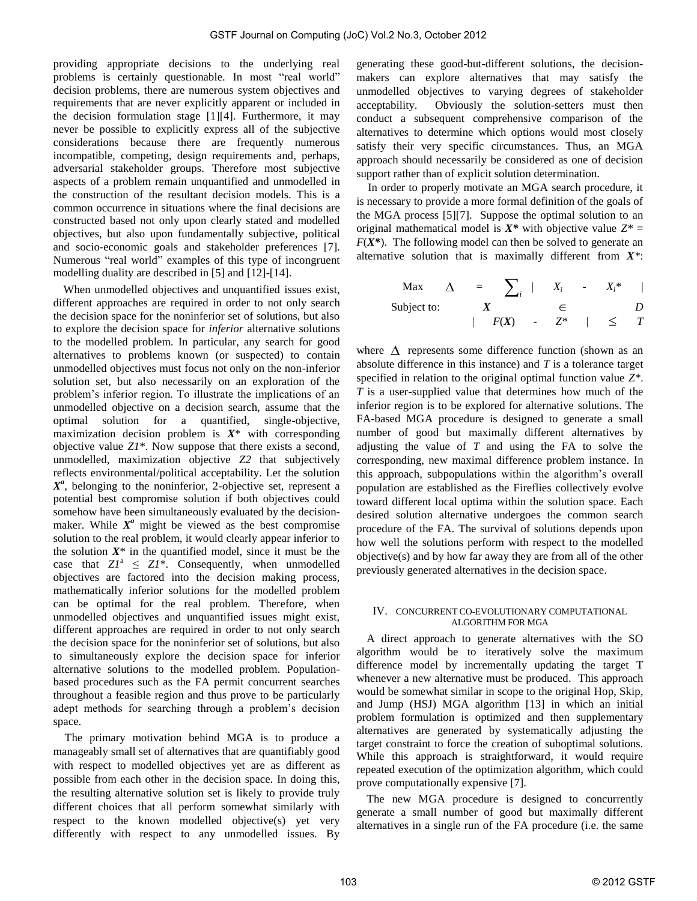providing appropriate decisions to the underlying real problems is certainly questionable. In most "real world" decision problems, there are numerous system objectives and requirements that are never explicitly apparent or included in the decision formulation stage [1][4]. Furthermore, it may never be possible to explicitly express all of the subjective considerations because there are frequently numerous incompatible, competing, design requirements and, perhaps, adversarial stakeholder groups. Therefore most subjective aspects of a problem remain unquantified and unmodelled in the construction of the resultant decision models. This is a common occurrence in situations where the final decisions are constructed based not only upon clearly stated and modelled objectives, but also upon fundamentally subjective, political and socio-economic goals and stakeholder preferences [7]. Numerous "real world" examples of this type of incongruent modelling duality are described in [5] and [12]-[14].

When unmodelled objectives and unquantified issues exist, different approaches are required in order to not only search the decision space for the noninferior set of solutions, but also to explore the decision space for *inferior* alternative solutions to the modelled problem. In particular, any search for good alternatives to problems known (or suspected) to contain unmodelled objectives must focus not only on the non-inferior solution set, but also necessarily on an exploration of the problem's inferior region. To illustrate the implications of an unmodelled objective on a decision search, assume that the optimal solution for a quantified, single-objective, maximization decision problem is *X*\* with corresponding objective value *Z1*\*. Now suppose that there exists a second, unmodelled, maximization objective *Z2* that subjectively reflects environmental/political acceptability. Let the solution  $X^a$ , belonging to the noninferior, 2-objective set, represent a potential best compromise solution if both objectives could somehow have been simultaneously evaluated by the decisionmaker. While  $X^a$  might be viewed as the best compromise solution to the real problem, it would clearly appear inferior to the solution  $X^*$  in the quantified model, since it must be the case that  $ZI^a \leq ZI^*$ . Consequently, when unmodelled objectives are factored into the decision making process, mathematically inferior solutions for the modelled problem can be optimal for the real problem. Therefore, when unmodelled objectives and unquantified issues might exist, different approaches are required in order to not only search the decision space for the noninferior set of solutions, but also to simultaneously explore the decision space for inferior alternative solutions to the modelled problem. Populationbased procedures such as the FA permit concurrent searches throughout a feasible region and thus prove to be particularly adept methods for searching through a problem's decision space.

The primary motivation behind MGA is to produce a manageably small set of alternatives that are quantifiably good with respect to modelled objectives yet are as different as possible from each other in the decision space. In doing this, the resulting alternative solution set is likely to provide truly different choices that all perform somewhat similarly with respect to the known modelled objective(s) yet very differently with respect to any unmodelled issues. By

generating these good-but-different solutions, the decisionmakers can explore alternatives that may satisfy the unmodelled objectives to varying degrees of stakeholder acceptability. Obviously the solution-setters must then conduct a subsequent comprehensive comparison of the alternatives to determine which options would most closely satisfy their very specific circumstances. Thus, an MGA approach should necessarily be considered as one of decision support rather than of explicit solution determination.

In order to properly motivate an MGA search procedure, it is necessary to provide a more formal definition of the goals of the MGA process [5][7]. Suppose the optimal solution to an original mathematical model is  $X^*$  with objective value  $Z^* =$ *F*(*X\**). The following model can then be solved to generate an alternative solution that is maximally different from *X\**:

| Max         | $\Delta$ | $=$   | $\sum_i$ | $X_i$ | $-$    | $X_i^*$ | $ $ |
|-------------|----------|-------|----------|-------|--------|---------|-----|
| Subject to: | $X$      | $\in$ | $D$      |       |        |         |     |
| $ $         | $F(X)$   | $-$   | $Z^*$    | $ $   | $\leq$ | $T$     |     |

where  $\Delta$  represents some difference function (shown as an absolute difference in this instance) and *T* is a tolerance target specified in relation to the original optimal function value *Z\**. *T* is a user-supplied value that determines how much of the inferior region is to be explored for alternative solutions. The FA-based MGA procedure is designed to generate a small number of good but maximally different alternatives by adjusting the value of *T* and using the FA to solve the corresponding, new maximal difference problem instance. In this approach, subpopulations within the algorithm's overall population are established as the Fireflies collectively evolve toward different local optima within the solution space. Each desired solution alternative undergoes the common search procedure of the FA. The survival of solutions depends upon how well the solutions perform with respect to the modelled objective(s) and by how far away they are from all of the other previously generated alternatives in the decision space.

#### IV. CONCURRENT CO-EVOLUTIONARY COMPUTATIONAL ALGORITHM FOR MGA

A direct approach to generate alternatives with the SO algorithm would be to iteratively solve the maximum difference model by incrementally updating the target T whenever a new alternative must be produced. This approach would be somewhat similar in scope to the original Hop, Skip, and Jump (HSJ) MGA algorithm [13] in which an initial problem formulation is optimized and then supplementary alternatives are generated by systematically adjusting the target constraint to force the creation of suboptimal solutions. While this approach is straightforward, it would require repeated execution of the optimization algorithm, which could prove computationally expensive [7].

The new MGA procedure is designed to concurrently generate a small number of good but maximally different alternatives in a single run of the FA procedure (i.e. the same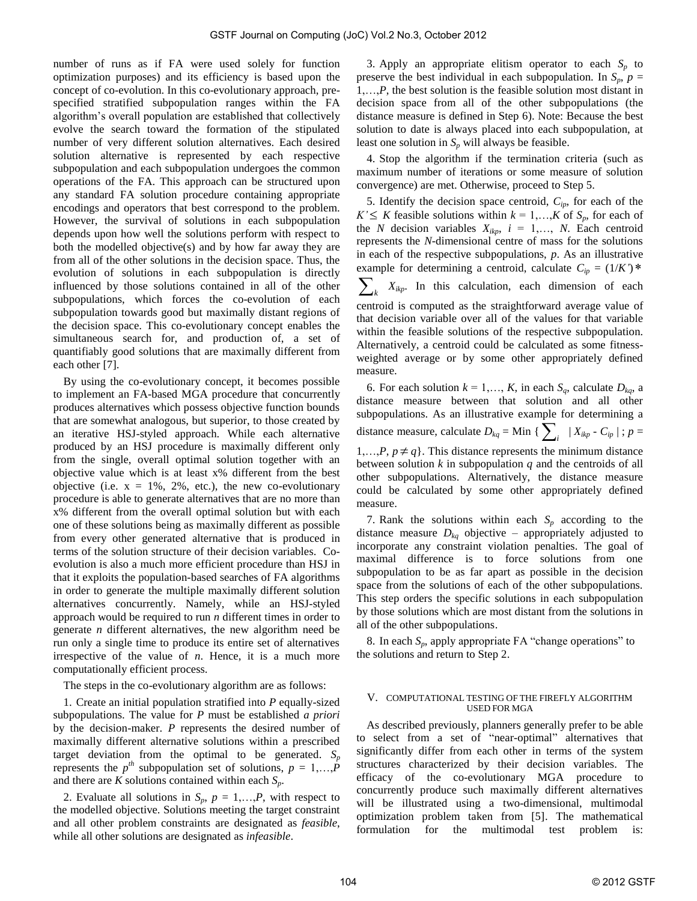number of runs as if FA were used solely for function optimization purposes) and its efficiency is based upon the concept of co-evolution. In this co-evolutionary approach, prespecified stratified subpopulation ranges within the FA algorithm's overall population are established that collectively evolve the search toward the formation of the stipulated number of very different solution alternatives. Each desired solution alternative is represented by each respective subpopulation and each subpopulation undergoes the common operations of the FA. This approach can be structured upon any standard FA solution procedure containing appropriate encodings and operators that best correspond to the problem. However, the survival of solutions in each subpopulation depends upon how well the solutions perform with respect to both the modelled objective(s) and by how far away they are from all of the other solutions in the decision space. Thus, the evolution of solutions in each subpopulation is directly influenced by those solutions contained in all of the other subpopulations, which forces the co-evolution of each subpopulation towards good but maximally distant regions of the decision space. This co-evolutionary concept enables the simultaneous search for, and production of, a set of quantifiably good solutions that are maximally different from each other [7].

By using the co-evolutionary concept, it becomes possible to implement an FA-based MGA procedure that concurrently produces alternatives which possess objective function bounds that are somewhat analogous, but superior, to those created by an iterative HSJ-styled approach. While each alternative produced by an HSJ procedure is maximally different only from the single, overall optimal solution together with an objective value which is at least x% different from the best objective (i.e.  $x = 1\%$ , 2%, etc.), the new co-evolutionary procedure is able to generate alternatives that are no more than x% different from the overall optimal solution but with each one of these solutions being as maximally different as possible from every other generated alternative that is produced in terms of the solution structure of their decision variables. Coevolution is also a much more efficient procedure than HSJ in that it exploits the population-based searches of FA algorithms in order to generate the multiple maximally different solution alternatives concurrently. Namely, while an HSJ-styled approach would be required to run *n* different times in order to generate *n* different alternatives, the new algorithm need be run only a single time to produce its entire set of alternatives irrespective of the value of *n*. Hence, it is a much more computationally efficient process.

The steps in the co-evolutionary algorithm are as follows:

1. Create an initial population stratified into *P* equally-sized subpopulations. The value for *P* must be established *a priori* by the decision-maker. *P* represents the desired number of maximally different alternative solutions within a prescribed target deviation from the optimal to be generated.  $S_p$ represents the  $p^{th}$  subpopulation set of solutions,  $p = 1,...,P$ and there are *K* solutions contained within each *Sp*.

2. Evaluate all solutions in  $S_p$ ,  $p = 1,...,P$ , with respect to the modelled objective. Solutions meeting the target constraint and all other problem constraints are designated as *feasible*, while all other solutions are designated as *infeasible*.

3. Apply an appropriate elitism operator to each  $S_p$  to preserve the best individual in each subpopulation. In  $S_p$ ,  $p =$ 1,…,*P*, the best solution is the feasible solution most distant in decision space from all of the other subpopulations (the distance measure is defined in Step 6). Note: Because the best solution to date is always placed into each subpopulation, at least one solution in  $S_p$  will always be feasible.

4. Stop the algorithm if the termination criteria (such as maximum number of iterations or some measure of solution convergence) are met. Otherwise, proceed to Step 5.

5. Identify the decision space centroid, *Cip*, for each of the  $K \leq K$  feasible solutions within  $k = 1,...,K$  of  $S_p$ , for each of the *N* decision variables  $X_{ikp}$ ,  $i = 1,..., N$ . Each centroid represents the *N*-dimensional centre of mass for the solutions in each of the respective subpopulations, *p*. As an illustrative example for determining a centroid, calculate  $C_{ip} = (1/K')^*$  $X_{ikp}$ . In this calculation, each dimension of each centroid is computed as the straightforward average value of that decision variable over all of the values for that variable within the feasible solutions of the respective subpopulation. Alternatively, a centroid could be calculated as some fitnessweighted average or by some other appropriately defined measure.

6. For each solution  $k = 1, \ldots, K$ , in each  $S_q$ , calculate  $D_{kq}$ , a distance measure between that solution and all other subpopulations. As an illustrative example for determining a distance measure, calculate  $D_{kq} = \text{Min } \{ \sum_i |X_{ikp} - C_{ip}| ; p =$  $1, \ldots, P, p \neq q$ . This distance represents the minimum distance between solution *k* in subpopulation *q* and the centroids of all other subpopulations. Alternatively, the distance measure could be calculated by some other appropriately defined measure.

7. Rank the solutions within each  $S_p$  according to the distance measure  $D_{kq}$  objective – appropriately adjusted to incorporate any constraint violation penalties. The goal of maximal difference is to force solutions from one subpopulation to be as far apart as possible in the decision space from the solutions of each of the other subpopulations. This step orders the specific solutions in each subpopulation by those solutions which are most distant from the solutions in all of the other subpopulations.

8. In each *Sp*, apply appropriate FA "change operations" to the solutions and return to Step 2.

#### V. COMPUTATIONAL TESTING OF THE FIREFLY ALGORITHM USED FOR MGA

As described previously, planners generally prefer to be able to select from a set of "near-optimal" alternatives that significantly differ from each other in terms of the system structures characterized by their decision variables. The efficacy of the co-evolutionary MGA procedure to concurrently produce such maximally different alternatives will be illustrated using a two-dimensional, multimodal optimization problem taken from [5]. The mathematical formulation for the multimodal test problem is: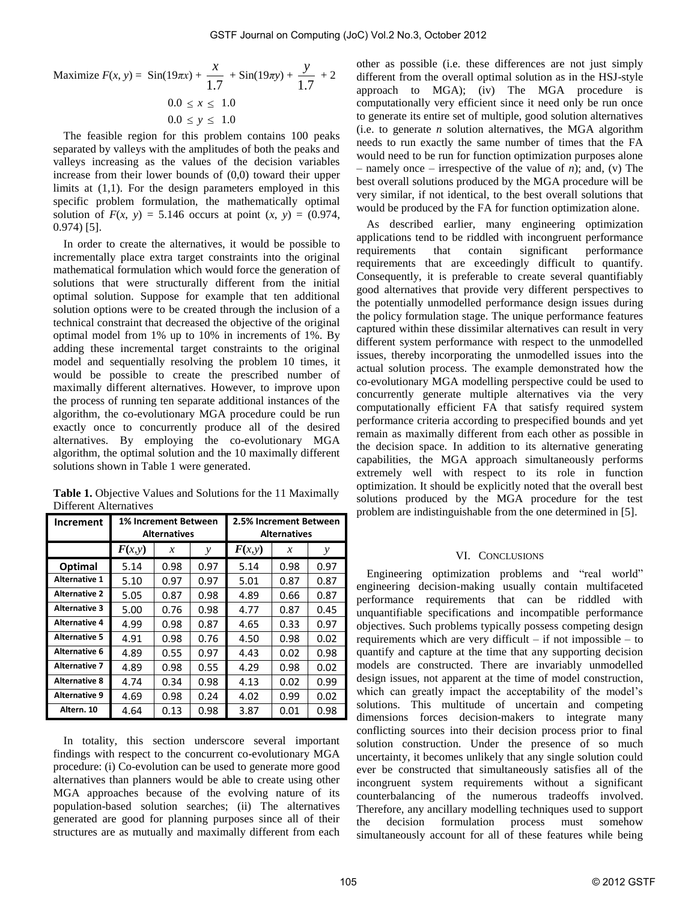Maximize 
$$
F(x, y) = \sin(19\pi x) + \frac{x}{1.7} + \sin(19\pi y) + \frac{y}{1.7} + 2
$$
  

$$
0.0 \le x \le 1.0
$$
  

$$
0.0 \le y \le 1.0
$$

The feasible region for this problem contains 100 peaks separated by valleys with the amplitudes of both the peaks and valleys increasing as the values of the decision variables increase from their lower bounds of (0,0) toward their upper limits at (1,1). For the design parameters employed in this specific problem formulation, the mathematically optimal solution of  $F(x, y) = 5.146$  occurs at point  $(x, y) = (0.974,$ 0.974) [5].

In order to create the alternatives, it would be possible to incrementally place extra target constraints into the original mathematical formulation which would force the generation of solutions that were structurally different from the initial optimal solution. Suppose for example that ten additional solution options were to be created through the inclusion of a technical constraint that decreased the objective of the original optimal model from 1% up to 10% in increments of 1%. By adding these incremental target constraints to the original model and sequentially resolving the problem 10 times, it would be possible to create the prescribed number of maximally different alternatives. However, to improve upon the process of running ten separate additional instances of the algorithm, the co-evolutionary MGA procedure could be run exactly once to concurrently produce all of the desired alternatives. By employing the co-evolutionary MGA algorithm, the optimal solution and the 10 maximally different solutions shown in Table 1 were generated.

**Table 1.** Objective Values and Solutions for the 11 Maximally Different Alternatives

| Increment            | <b>1% Increment Between</b><br><b>Alternatives</b> |               |      | 2.5% Increment Between<br><b>Alternatives</b> |               |      |
|----------------------|----------------------------------------------------|---------------|------|-----------------------------------------------|---------------|------|
|                      | F(x, y)                                            | $\mathcal{X}$ | y    | F(x, y)                                       | $\mathcal{X}$ | у    |
| Optimal              | 5.14                                               | 0.98          | 0.97 | 5.14                                          | 0.98          | 0.97 |
| <b>Alternative 1</b> | 5.10                                               | 0.97          | 0.97 | 5.01                                          | 0.87          | 0.87 |
| <b>Alternative 2</b> | 5.05                                               | 0.87          | 0.98 | 4.89                                          | 0.66          | 0.87 |
| <b>Alternative 3</b> | 5.00                                               | 0.76          | 0.98 | 4.77                                          | 0.87          | 0.45 |
| <b>Alternative 4</b> | 4.99                                               | 0.98          | 0.87 | 4.65                                          | 0.33          | 0.97 |
| <b>Alternative 5</b> | 4.91                                               | 0.98          | 0.76 | 4.50                                          | 0.98          | 0.02 |
| <b>Alternative 6</b> | 4.89                                               | 0.55          | 0.97 | 4.43                                          | 0.02          | 0.98 |
| <b>Alternative 7</b> | 4.89                                               | 0.98          | 0.55 | 4.29                                          | 0.98          | 0.02 |
| <b>Alternative 8</b> | 4.74                                               | 0.34          | 0.98 | 4.13                                          | 0.02          | 0.99 |
| <b>Alternative 9</b> | 4.69                                               | 0.98          | 0.24 | 4.02                                          | 0.99          | 0.02 |
| Altern. 10           | 4.64                                               | 0.13          | 0.98 | 3.87                                          | 0.01          | 0.98 |

In totality, this section underscore several important findings with respect to the concurrent co-evolutionary MGA procedure: (i) Co-evolution can be used to generate more good alternatives than planners would be able to create using other MGA approaches because of the evolving nature of its population-based solution searches; (ii) The alternatives generated are good for planning purposes since all of their structures are as mutually and maximally different from each other as possible (i.e. these differences are not just simply different from the overall optimal solution as in the HSJ-style approach to MGA); (iv) The MGA procedure is computationally very efficient since it need only be run once to generate its entire set of multiple, good solution alternatives (i.e. to generate *n* solution alternatives, the MGA algorithm needs to run exactly the same number of times that the FA would need to be run for function optimization purposes alone – namely once – irrespective of the value of *n*); and, (v) The best overall solutions produced by the MGA procedure will be very similar, if not identical, to the best overall solutions that would be produced by the FA for function optimization alone.

As described earlier, many engineering optimization applications tend to be riddled with incongruent performance requirements that contain significant performance requirements that are exceedingly difficult to quantify. Consequently, it is preferable to create several quantifiably good alternatives that provide very different perspectives to the potentially unmodelled performance design issues during the policy formulation stage. The unique performance features captured within these dissimilar alternatives can result in very different system performance with respect to the unmodelled issues, thereby incorporating the unmodelled issues into the actual solution process. The example demonstrated how the co-evolutionary MGA modelling perspective could be used to concurrently generate multiple alternatives via the very computationally efficient FA that satisfy required system performance criteria according to prespecified bounds and yet remain as maximally different from each other as possible in the decision space. In addition to its alternative generating capabilities, the MGA approach simultaneously performs extremely well with respect to its role in function optimization. It should be explicitly noted that the overall best solutions produced by the MGA procedure for the test problem are indistinguishable from the one determined in [5].

## VI. CONCLUSIONS

Engineering optimization problems and "real world" engineering decision-making usually contain multifaceted performance requirements that can be riddled with unquantifiable specifications and incompatible performance objectives. Such problems typically possess competing design requirements which are very difficult – if not impossible – to quantify and capture at the time that any supporting decision models are constructed. There are invariably unmodelled design issues, not apparent at the time of model construction, which can greatly impact the acceptability of the model's solutions. This multitude of uncertain and competing dimensions forces decision-makers to integrate many conflicting sources into their decision process prior to final solution construction. Under the presence of so much uncertainty, it becomes unlikely that any single solution could ever be constructed that simultaneously satisfies all of the incongruent system requirements without a significant counterbalancing of the numerous tradeoffs involved. Therefore, any ancillary modelling techniques used to support the decision formulation process must somehow simultaneously account for all of these features while being